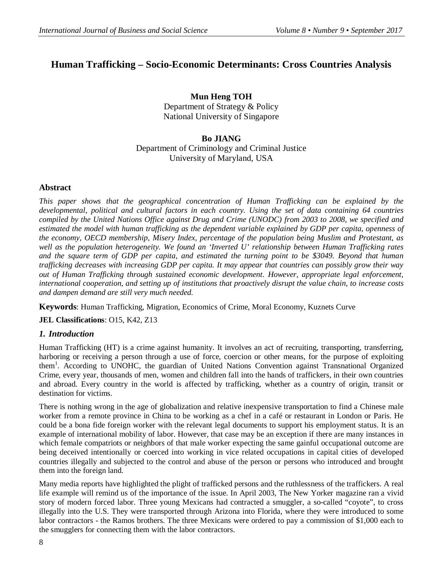# **Human Trafficking – Socio-Economic Determinants: Cross Countries Analysis**

**Mun Heng TOH** Department of Strategy & Policy National University of Singapore

# **Bo JIANG** Department of Criminology and Criminal Justice University of Maryland, USA

# **Abstract**

*This paper shows that the geographical concentration of Human Trafficking can be explained by the developmental, political and cultural factors in each country. Using the set of data containing 64 countries compiled by the United Nations Office against Drug and Crime (UNODC) from 2003 to 2008, we specified and estimated the model with human trafficking as the dependent variable explained by GDP per capita, openness of the economy, OECD membership, Misery Index, percentage of the population being Muslim and Protestant, as well as the population heterogeneity. We found an 'Inverted U' relationship between Human Trafficking rates and the square term of GDP per capita, and estimated the turning point to be \$3049. Beyond that human trafficking decreases with increasing GDP per capita. It may appear that countries can possibly grow their way out of Human Trafficking through sustained economic development. However, appropriate legal enforcement, international cooperation, and setting up of institutions that proactively disrupt the value chain, to increase costs and dampen demand are still very much needed.*

**Keywords**: Human Trafficking, Migration, Economics of Crime, Moral Economy, Kuznets Curve

**JEL Classifications**: O15, K42, Z13

# *1. Introduction*

Human Trafficking (HT) is a crime against humanity. It involves an act of recruiting, transporting, transferring, harboring or receiving a person through a use of force, coercion or other means, for the purpose of exploiting them<sup>1</sup>. According to UNOHC, the guardian of United Nations Convention against Transnational Organized Crime, every year, thousands of men, women and children fall into the hands of traffickers, in their own countries and abroad. Every country in the world is affected by trafficking, whether as a country of origin, transit or destination for victims.

There is nothing wrong in the age of globalization and relative inexpensive transportation to find a Chinese male worker from a remote province in China to be working as a chef in a café or restaurant in London or Paris. He could be a bona fide foreign worker with the relevant legal documents to support his employment status. It is an example of international mobility of labor. However, that case may be an exception if there are many instances in which female compatriots or neighbors of that male worker expecting the same gainful occupational outcome are being deceived intentionally or coerced into working in vice related occupations in capital cities of developed countries illegally and subjected to the control and abuse of the person or persons who introduced and brought them into the foreign land.

Many media reports have highlighted the plight of trafficked persons and the ruthlessness of the traffickers. A real life example will remind us of the importance of the issue. In April 2003, The New Yorker magazine ran a vivid story of modern forced labor. Three young Mexicans had contracted a smuggler, a so-called "coyote", to cross illegally into the U.S. They were transported through Arizona into Florida, where they were introduced to some labor contractors - the Ramos brothers. The three Mexicans were ordered to pay a commission of \$1,000 each to the smugglers for connecting them with the labor contractors.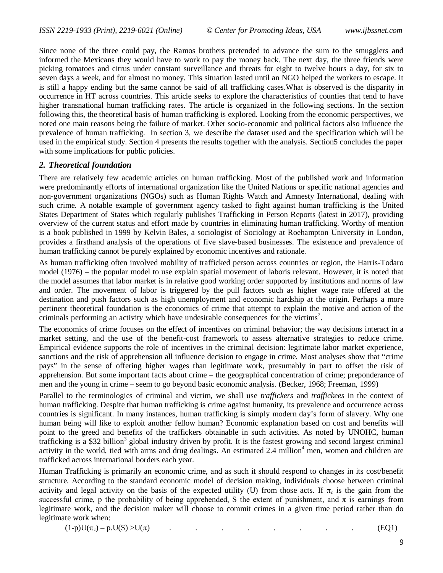Since none of the three could pay, the Ramos brothers pretended to advance the sum to the smugglers and informed the Mexicans they would have to work to pay the money back. The next day, the three friends were picking tomatoes and citrus under constant surveillance and threats for eight to twelve hours a day, for six to seven days a week, and for almost no money. This situation lasted until an NGO helped the workers to escape. It is still a happy ending but the same cannot be said of all trafficking cases.What is observed is the disparity in occurrence in HT across countries. This article seeks to explore the characteristics of counties that tend to have higher transnational human trafficking rates. The article is organized in the following sections. In the section following this, the theoretical basis of human trafficking is explored. Looking from the economic perspectives, we noted one main reasons being the failure of market. Other socio-economic and political factors also influence the prevalence of human trafficking. In section 3, we describe the dataset used and the specification which will be used in the empirical study. Section 4 presents the results together with the analysis. Section5 concludes the paper with some implications for public policies.

## *2. Theoretical foundation*

There are relatively few academic articles on human trafficking. Most of the published work and information were predominantly efforts of international organization like the United Nations or specific national agencies and non-government organizations (NGOs) such as Human Rights Watch and Amnesty International, dealing with such crime. A notable example of government agency tasked to fight against human trafficking is the United States Department of States which regularly publishes Trafficking in Person Reports (latest in 2017), providing overview of the current status and effort made by countries in eliminating human trafficking. Worthy of mention is a book published in 1999 by Kelvin Bales, a sociologist of Sociology at Roehampton University in London, provides a firsthand analysis of the operations of five slave-based businesses. The existence and prevalence of human trafficking cannot be purely explained by economic incentives and rationale.

As human trafficking often involved mobility of trafficked person across countries or region, the Harris-Todaro model (1976) – the popular model to use explain spatial movement of laboris relevant. However, it is noted that the model assumes that labor market is in relative good working order supported by institutions and norms of law and order. The movement of labor is triggered by the pull factors such as higher wage rate offered at the destination and push factors such as high unemployment and economic hardship at the origin. Perhaps a more pertinent theoretical foundation is the economics of crime that attempt to explain the motive and action of the criminals performing an activity which have undesirable consequences for the victims<sup>2</sup>. . The economics of crime  $\mathcal{L}$ 

The economics of crime focuses on the effect of incentives on criminal behavior; the way decisions interact in a market setting, and the use of the benefit-cost framework to assess alternative strategies to reduce crime. Empirical evidence supports the role of incentives in the criminal decision: legitimate labor market experience, sanctions and the risk of apprehension all influence decision to engage in crime. Most analyses show that "crime pays" in the sense of offering higher wages than legitimate work, presumably in part to offset the risk of apprehension. But some important facts about crime – the geographical concentration of crime; preponderance of men and the young in crime – seem to go beyond basic economic analysis. (Becker, 1968; Freeman, 1999)

Parallel to the terminologies of criminal and victim, we shall use *traffickers* and *traffickees* in the context of human trafficking. Despite that human trafficking is crime against humanity, its prevalence and occurrence across countries is significant. In many instances, human trafficking is simply modern day's form of slavery. Why one human being will like to exploit another fellow human? Economic explanation based on cost and benefits will point to the greed and benefits of the traffickers obtainable in such activities. As noted by UNOHC, human trafficking is a \$32 billion<sup>3</sup> global industry driven by profit. It is the fastest growing and second largest criminal activity in the world, tied with arms and drug dealings. An estimated 2.4 million<sup>4</sup> men, women and children are trafficked across international borders each year.

Human Trafficking is primarily an economic crime, and as such it should respond to changes in its cost/benefit structure. According to the standard economic model of decision making, individuals choose between criminal activity and legal activity on the basis of the expected utility (U) from those acts. If  $\pi_c$  is the gain from the successful crime, p the probability of being apprehended, S the extent of punishment, and  $\pi$  is earnings from legitimate work, and the decision maker will choose to commit crimes in a given time period rather than do legitimate work when:

 $(1-p)U(\pi_c) - p.U(S) > U(\pi)$  . . . . . . . . . . . . (EQ1)

9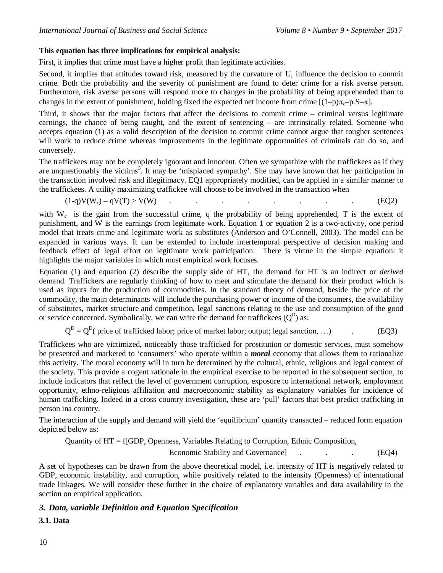# **This equation has three implications for empirical analysis:**

First, it implies that crime must have a higher profit than legitimate activities.

Second, it implies that attitudes toward risk, measured by the curvature of U, influence the decision to commit crime. Both the probability and the severity of punishment are found to deter crime for a risk averse person. Furthermore, risk averse persons will respond more to changes in the probability of being apprehended than to changes in the extent of punishment, holding fixed the expected net income from crime  $[(1-p)\pi_c-p.S-\pi]$ .

Third, it shows that the major factors that affect the decisions to commit crime – criminal versus legitimate earnings, the chance of being caught, and the extent of sentencing – are intrinsically related. Someone who accepts equation (1) as a valid description of the decision to commit crime cannot argue that tougher sentences will work to reduce crime whereas improvements in the legitimate opportunities of criminals can do so, and conversely.

The traffickees may not be completely ignorant and innocent. Often we sympathize with the traffickees as if they are unquestionably the victims<sup>5</sup>. It may be 'misplaced sympathy'. She may have known that her participation in the transaction involved risk and illegitimacy. EQ1 appropriately modified, can be applied in a similar manner to the traffickees. A utility maximizing traffickee will choose to be involved in the transaction when

$$
(1-q)V(W_c) - qV(T) > V(W) \tag{EQ2}
$$

with  $W_c$  is the gain from the successful crime, q the probability of being apprehended, T is the extent of punishment, and W is the earnings from legitimate work. Equation 1 or equation 2 is a two-activity, one period model that treats crime and legitimate work as substitutes (Anderson and O'Connell, 2003). The model can be expanded in various ways. It can be extended to include intertemporal perspective of decision making and feedback effect of legal effort on legitimate work participation. There is virtue in the simple equation: it highlights the major variables in which most empirical work focuses.

Equation (1) and equation (2) describe the supply side of HT, the demand for HT is an indirect or *derived* demand. Traffickers are regularly thinking of how to meet and stimulate the demand for their product which is used as inputs for the production of commodities. In the standard theory of demand, beside the price of the commodity, the main determinants will include the purchasing power or income of the consumers, the availability of substitutes, market structure and competition, legal sanctions relating to the use and consumption of the good or service concerned. Symbolically, we can write the demand for traffickees  $(Q^D)$  as:

 $Q^{D} = Q^{D}$  (price of trafficked labor; price of market labor; output; legal sanction, ...) (EQ3)

Traffickees who are victimized, noticeably those trafficked for prostitution or domestic services, must somehow be presented and marketed to 'consumers' who operate within a *moral* economy that allows them to rationalize this activity. The moral economy will in turn be determined by the cultural, ethnic, religious and legal context of the society. This provide a cogent rationale in the empirical exercise to be reported in the subsequent section, to include indicators that reflect the level of government corruption, exposure to international network, employment opportunity, ethno-religious affiliation and macroeconomic stability as explanatory variables for incidence of human trafficking. Indeed in a cross country investigation, these are 'pull' factors that best predict trafficking in person ina country.

The interaction of the supply and demand will yield the 'equilibrium' quantity transacted – reduced form equation depicted below as:

Quantity of HT = f[GDP, Openness, Variables Relating to Corruption, Ethnic Composition, Economic Stability and Governance and  $\overline{C}$ . (EQ4)

A set of hypotheses can be drawn from the above theoretical model, i.e. intensity of HT is negatively related to GDP, economic instability, and corruption, while positively related to the intensity (Openness) of international trade linkages. We will consider these further in the choice of explanatory variables and data availability in the section on empirical application.

# *3. Data, variable Definition and Equation Specification*

**3.1. Data**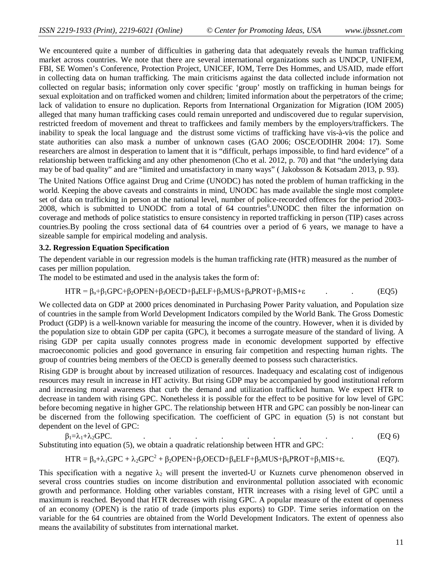We encountered quite a number of difficulties in gathering data that adequately reveals the human trafficking market across countries. We note that there are several international organizations such as UNDCP, UNIFEM, FBI, SE Women's Conference, Protection Project, UNICEF, IOM, Terre Des Hommes, and USAID, made effort in collecting data on human trafficking. The main criticisms against the data collected include information not collected on regular basis; information only cover specific 'group' mostly on trafficking in human beings for sexual exploitation and on trafficked women and children; limited information about the perpetrators of the crime; lack of validation to ensure no duplication. Reports from International Organization for Migration (IOM 2005) alleged that many human trafficking cases could remain unreported and undiscovered due to regular supervision, restricted freedom of movement and threat to traffickees and family members by the employers/traffickers. The inability to speak the local language and the distrust some victims of trafficking have vis-à-vis the police and state authorities can also mask a number of unknown cases (GAO 2006; OSCE/ODIHR 2004: 17). Some researchers are almost in desperation to lament that it is "difficult, perhaps impossible, to find hard evidence" of a relationship between trafficking and any other phenomenon (Cho et al. 2012, p. 70) and that "the underlying data may be of bad quality" and are "limited and unsatisfactory in many ways" ( Jakobsson & Kotsadam 2013, p. 93).

The United Nations Office against Drug and Crime (UNODC) has noted the problem of human trafficking in the world. Keeping the above caveats and constraints in mind, UNODC has made available the single most complete set of data on trafficking in person at the national level, number of police-recorded offences for the period 2003- 2008, which is submitted to UNODC from a total of 64 countries<sup>6</sup>. UNODC then filter the information on coverage and methods of police statistics to ensure consistency in reported trafficking in person (TIP) cases across countries.By pooling the cross sectional data of 64 countries over a period of 6 years, we manage to have a sizeable sample for empirical modeling and analysis.

### **3.2. Regression Equation Specification**

The dependent variable in our regression models is the human trafficking rate (HTR) measured as the number of cases per million population.

The model to be estimated and used in the analysis takes the form of:

$$
HTR = \beta_0 + \beta_1 GPC + \beta_2 OPEN + \beta_3 OECD + \beta_4 ELF + \beta_5 MUS + \beta_6 PROT + \beta_1 MIS + \epsilon
$$
 (EQ5)

We collected data on GDP at 2000 prices denominated in Purchasing Power Parity valuation, and Population size of countries in the sample from World Development Indicators compiled by the World Bank. The Gross Domestic Product (GDP) is a well-known variable for measuring the income of the country. However, when it is divided by the population size to obtain GDP per capita (GPC), it becomes a surrogate measure of the standard of living. A rising GDP per capita usually connotes progress made in economic development supported by effective macroeconomic policies and good governance in ensuring fair competition and respecting human rights. The group of countries being members of the OECD is generally deemed to possess such characteristics.

Rising GDP is brought about by increased utilization of resources. Inadequacy and escalating cost of indigenous resources may result in increase in HT activity. But rising GDP may be accompanied by good institutional reform and increasing moral awareness that curb the demand and utilization trafficked human. We expect HTR to decrease in tandem with rising GPC. Nonetheless it is possible for the effect to be positive for low level of GPC before becoming negative in higher GPC. The relationship between HTR and GPC can possibly be non-linear can be discerned from the following specification. The coefficient of GPC in equation (5) is not constant but dependent on the level of GPC:

$$
\beta_1 = \lambda_1 + \lambda_2 \text{GPC}.\tag{EQ 6}
$$

Substituting into equation (5), we obtain a quadratic relationship between HTR and GPC:

$$
HTR = \beta_0 + \lambda_1 GPC + \lambda_2 GPC^2 + \beta_2 OPEN + \beta_3 OECD + \beta_4 ELF + \beta_5 MUS + \beta_6 PROT + \beta_1 MIS + \epsilon.
$$
 (EQ7).

This specification with a negative  $\lambda_2$  will present the inverted-U or Kuznets curve phenomenon observed in several cross countries studies on income distribution and environmental pollution associated with economic growth and performance. Holding other variables constant, HTR increases with a rising level of GPC until a maximum is reached. Beyond that HTR decreases with rising GPC. A popular measure of the extent of openness of an economy (OPEN) is the ratio of trade (imports plus exports) to GDP. Time series information on the variable for the 64 countries are obtained from the World Development Indicators. The extent of openness also means the availability of substitutes from international market.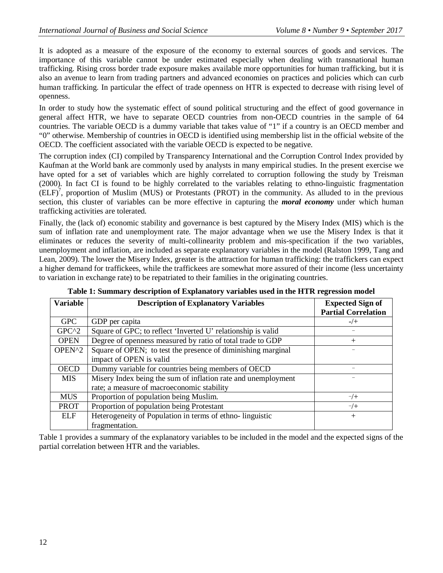It is adopted as a measure of the exposure of the economy to external sources of goods and services. The importance of this variable cannot be under estimated especially when dealing with transnational human trafficking. Rising cross border trade exposure makes available more opportunities for human trafficking, but it is also an avenue to learn from trading partners and advanced economies on practices and policies which can curb human trafficking. In particular the effect of trade openness on HTR is expected to decrease with rising level of openness.

In order to study how the systematic effect of sound political structuring and the effect of good governance in general affect HTR, we have to separate OECD countries from non-OECD countries in the sample of 64 countries. The variable OECD is a dummy variable that takes value of "1" if a country is an OECD member and "0" otherwise. Membership of countries in OECD is identified using membership list in the official website of the OECD. The coefficient associated with the variable OECD is expected to be negative.

The corruption index (CI) compiled by Transparency International and the Corruption Control Index provided by Kaufman at the World bank are commonly used by analysts in many empirical studies. In the present exercise we have opted for a set of variables which are highly correlated to corruption following the study by Treisman (2000). In fact CI is found to be highly correlated to the variables relating to ethno-linguistic fragmentation (ELF)<sup>7</sup> , proportion of Muslim (MUS) or Protestants (PROT) in the community. As alluded to in the previous section, this cluster of variables can be more effective in capturing the *moral economy* under which human trafficking activities are tolerated.

Finally, the (lack of) economic stability and governance is best captured by the Misery Index (MIS) which is the sum of inflation rate and unemployment rate. The major advantage when we use the Misery Index is that it eliminates or reduces the severity of multi-collinearity problem and mis-specification if the two variables, unemployment and inflation, are included as separate explanatory variables in the model (Ralston 1999, Tang and Lean, 2009). The lower the Misery Index, greater is the attraction for human trafficking: the traffickers can expect a higher demand for traffickees, while the traffickees are somewhat more assured of their income (less uncertainty to variation in exchange rate) to be repatriated to their families in the originating countries.

| <b>Variable</b> | <b>Description of Explanatory Variables</b>                   | <b>Expected Sign of</b>    |
|-----------------|---------------------------------------------------------------|----------------------------|
|                 |                                                               | <b>Partial Correlation</b> |
| <b>GPC</b>      | GDP per capita                                                | $-/+$                      |
| $GPC^2$         | Square of GPC; to reflect 'Inverted U' relationship is valid  |                            |
| <b>OPEN</b>     | Degree of openness measured by ratio of total trade to GDP    | $\mathrm{+}$               |
| OPEN^2          | Square of OPEN; to test the presence of diminishing marginal  |                            |
|                 | impact of OPEN is valid                                       |                            |
| <b>OECD</b>     | Dummy variable for countries being members of OECD            |                            |
| <b>MIS</b>      | Misery Index being the sum of inflation rate and unemployment |                            |
|                 | rate; a measure of macroeconomic stability                    |                            |
| <b>MUS</b>      | Proportion of population being Muslim.                        | $-/+$                      |
| <b>PROT</b>     | Proportion of population being Protestant                     | $-/-$                      |
| <b>ELF</b>      | Heterogeneity of Population in terms of ethno-linguistic      | $+$                        |
|                 | fragmentation.                                                |                            |

**Table 1: Summary description of Explanatory variables used in the HTR regression model**

Table 1 provides a summary of the explanatory variables to be included in the model and the expected signs of the partial correlation between HTR and the variables.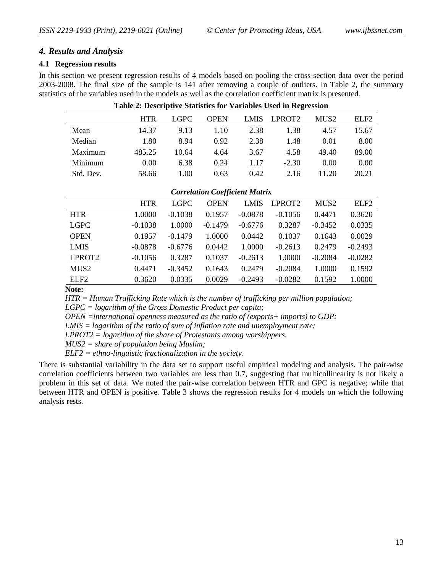# *4. Results and Analysis*

## **4.1 Regression results**

In this section we present regression results of 4 models based on pooling the cross section data over the period 2003-2008. The final size of the sample is 141 after removing a couple of outliers. In Table 2, the summary statistics of the variables used in the models as well as the correlation coefficient matrix is presented.

|           | <b>HTR</b> | LGPC  | <b>OPEN</b> |      | LMIS LPROT2 | MUS <sub>2</sub> | ELF <sub>2</sub> |
|-----------|------------|-------|-------------|------|-------------|------------------|------------------|
| Mean      | 14.37      | 9.13  | 1.10        | 2.38 | 1.38        | 4.57             | 15.67            |
| Median    | 1.80       | 8.94  | 0.92        | 2.38 | 1.48        | 0.01             | 8.00             |
| Maximum   | 485.25     | 10.64 | 4.64        | 3.67 | 4.58        | 49.40            | 89.00            |
| Minimum   | 0.00       | 6.38  | 0.24        | 1.17 | $-2.30$     | 0.00             | 0.00             |
| Std. Dev. | 58.66      | 1.00  | 0.63        | 0.42 | 2.16        | 11.20            | 20.21            |

#### **Table 2: Descriptive Statistics for Variables Used in Regression**

|  | <b>Correlation Coefficient Matrix</b> |  |
|--|---------------------------------------|--|
|--|---------------------------------------|--|

|                    | <b>HTR</b> | <b>LGPC</b> | <b>OPEN</b> | <b>LMIS</b> | LPROT <sub>2</sub> | MUS <sub>2</sub> | ELF <sub>2</sub> |
|--------------------|------------|-------------|-------------|-------------|--------------------|------------------|------------------|
| <b>HTR</b>         | 1.0000     | $-0.1038$   | 0.1957      | $-0.0878$   | $-0.1056$          | 0.4471           | 0.3620           |
| <b>LGPC</b>        | $-0.1038$  | 1.0000      | $-0.1479$   | $-0.6776$   | 0.3287             | $-0.3452$        | 0.0335           |
| <b>OPEN</b>        | 0.1957     | $-0.1479$   | 1.0000      | 0.0442      | 0.1037             | 0.1643           | 0.0029           |
| <b>LMIS</b>        | $-0.0878$  | $-0.6776$   | 0.0442      | 1.0000      | $-0.2613$          | 0.2479           | $-0.2493$        |
| LPROT <sub>2</sub> | $-0.1056$  | 0.3287      | 0.1037      | $-0.2613$   | 1.0000             | $-0.2084$        | $-0.0282$        |
| MUS <sub>2</sub>   | 0.4471     | $-0.3452$   | 0.1643      | 0.2479      | $-0.2084$          | 1.0000           | 0.1592           |
| ELF <sub>2</sub>   | 0.3620     | 0.0335      | 0.0029      | $-0.2493$   | $-0.0282$          | 0.1592           | 1.0000           |

**Note:**

*HTR = Human Trafficking Rate which is the number of trafficking per million population;*

*LGPC = logarithm of the Gross Domestic Product per capita;*

*OPEN =international openness measured as the ratio of (exports+ imports) to GDP;*

*LMIS = logarithm of the ratio of sum of inflation rate and unemployment rate;*

*LPROT2 = logarithm of the share of Protestants among worshippers.*

*MUS2 = share of population being Muslim;*

*ELF2 = ethno-linguistic fractionalization in the society.*

There is substantial variability in the data set to support useful empirical modeling and analysis. The pair-wise correlation coefficients between two variables are less than 0.7, suggesting that multicollinearity is not likely a problem in this set of data. We noted the pair-wise correlation between HTR and GPC is negative; while that between HTR and OPEN is positive. Table 3 shows the regression results for 4 models on which the following analysis rests.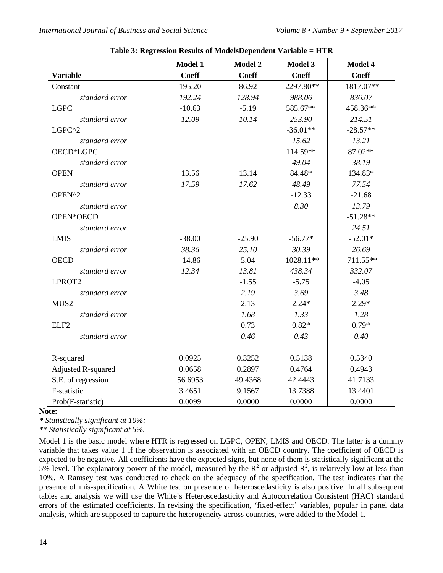|                           | Model 1      | Model 2      | Model 3      | Model 4      |
|---------------------------|--------------|--------------|--------------|--------------|
| <b>Variable</b>           | <b>Coeff</b> | <b>Coeff</b> | <b>Coeff</b> | <b>Coeff</b> |
| Constant                  | 195.20       | 86.92        | $-2297.80**$ | $-1817.07**$ |
| standard error            | 192.24       | 128.94       | 988.06       | 836.07       |
| <b>LGPC</b>               | $-10.63$     | $-5.19$      | 585.67**     | 458.36**     |
| standard error            | 12.09        | 10.14        | 253.90       | 214.51       |
| LGPC^2                    |              |              | $-36.01**$   | $-28.57**$   |
| standard error            |              |              | 15.62        | 13.21        |
| OECD*LGPC                 |              |              | 114.59**     | 87.02**      |
| standard error            |              |              | 49.04        | 38.19        |
| <b>OPEN</b>               | 13.56        | 13.14        | 84.48*       | 134.83*      |
| standard error            | 17.59        | 17.62        | 48.49        | 77.54        |
| OPEN^2                    |              |              | $-12.33$     | $-21.68$     |
| standard error            |              |              | 8.30         | 13.79        |
| OPEN*OECD                 |              |              |              | $-51.28**$   |
| standard error            |              |              |              | 24.51        |
| <b>LMIS</b>               | $-38.00$     | $-25.90$     | $-56.77*$    | $-52.01*$    |
| standard error            | 38.36        | 25.10        | 30.39        | 26.69        |
| <b>OECD</b>               | $-14.86$     | 5.04         | $-1028.11**$ | $-711.55**$  |
| standard error            | 12.34        | 13.81        | 438.34       | 332.07       |
| LPROT2                    |              | $-1.55$      | $-5.75$      | $-4.05$      |
| standard error            |              | 2.19         | 3.69         | 3.48         |
| MUS <sub>2</sub>          |              | 2.13         | $2.24*$      | $2.29*$      |
| standard error            |              | 1.68         | 1.33         | 1.28         |
| ELF <sub>2</sub>          |              | 0.73         | $0.82*$      | $0.79*$      |
| standard error            |              | 0.46         | 0.43         | 0.40         |
|                           |              |              |              |              |
| R-squared                 | 0.0925       | 0.3252       | 0.5138       | 0.5340       |
| <b>Adjusted R-squared</b> | 0.0658       | 0.2897       | 0.4764       | 0.4943       |
| S.E. of regression        | 56.6953      | 49.4368      | 42.4443      | 41.7133      |
| F-statistic               | 3.4651       | 9.1567       | 13.7388      | 13.4401      |
| Prob(F-statistic)         | 0.0099       | 0.0000       | 0.0000       | 0.0000       |

|  | Table 3: Regression Results of ModelsDependent Variable = HTR |  |
|--|---------------------------------------------------------------|--|
|  |                                                               |  |

#### **Note:**

*\* Statistically significant at 10%;*

*\*\* Statistically significant at 5%.*

Model 1 is the basic model where HTR is regressed on LGPC, OPEN, LMIS and OECD. The latter is a dummy variable that takes value 1 if the observation is associated with an OECD country. The coefficient of OECD is expected to be negative. All coefficients have the expected signs, but none of them is statistically significant at the 5% level. The explanatory power of the model, measured by the  $\mathbb{R}^2$  or adjusted  $\mathbb{R}^2$ , is relatively low at less than 10%. A Ramsey test was conducted to check on the adequacy of the specification. The test indicates that the presence of mis-specification. A White test on presence of heteroscedasticity is also positive. In all subsequent tables and analysis we will use the White's Heteroscedasticity and Autocorrelation Consistent (HAC) standard errors of the estimated coefficients. In revising the specification, 'fixed-effect' variables, popular in panel data analysis, which are supposed to capture the heterogeneity across countries, were added to the Model 1.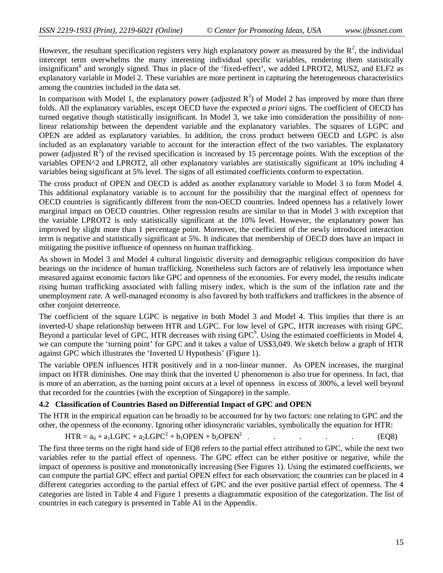However, the resultant specification registers very high explanatory power as measured by the  $R^2$ , the individual intercept term overwhelms the many interesting individual specific variables, rendering them statistically insignificant<sup>8</sup> and wrongly signed. Thus in place of the 'fixed-effect', we added LPROT2, MUS2, and ELF2 as explanatory variable in Model 2. These variables are more pertinent in capturing the heterogeneous characteristics among the countries included in the data set.

In comparison with Model 1, the explanatory power (adjusted  $R^2$ ) of Model 2 has improved by more than three folds. All the explanatory variables, except OECD have the expected *a priori* signs. The coefficient of OECD has turned negative though statistically insignificant. In Model 3, we take into consideration the possibility of nonlinear relationship between the dependent variable and the explanatory variables. The squares of LGPC and OPEN are added as explanatory variables. In addition, the cross product between OECD and LGPC is also included as an explanatory variable to account for the interaction effect of the two variables. The explanatory power (adjusted  $\overline{R}^2$ ) of the revised specification is increased by 15 percentage points. With the exception of the variables OPEN^2 and LPROT2, all other explanatory variables are statistically significant at 10% including 4 variables being significant at 5% level. The signs of all estimated coefficients conform to expectation.

The cross product of OPEN and OECD is added as another explanatory variable to Model 3 to form Model 4. This additional explanatory variable is to account for the possibility that the marginal effect of openness for OECD countries is significantly different from the non-OECD countries. Indeed openness has a relatively lower marginal impact on OECD countries. Other regression results are similar to that in Model 3 with exception that the variable LPROT2 is only statistically significant at the 10% level. However, the explanatory power has improved by slight more than 1 percentage point. Moreover, the coefficient of the newly introduced interaction term is negative and statistically significant at 5%. It indicates that membership of OECD does have an impact in mitigating the positive influence of openness on human trafficking.

As shown in Model 3 and Model 4 cultural linguistic diversity and demographic religious composition do have bearings on the incidence of human trafficking. Nonetheless such factors are of relatively less importance when measured against economic factors like GPC and openness of the economies. For every model, the results indicate rising human trafficking associated with falling misery index, which is the sum of the inflation rate and the unemployment rate. A well-managed economy is also favored by both traffickers and traffickees in the absence of other conjoint deterrence.

The coefficient of the square LGPC is negative in both Model 3 and Model 4. This implies that there is an inverted-U shape relationship between HTR and LGPC. For low level of GPC, HTR increases with rising GPC. Beyond a particular level of GPC, HTR decreases with rising  $GPC<sup>9</sup>$ . Using the estimated coefficients in Model 4, we can compute the 'turning point' for GPC and it takes a value of US\$3,049. We sketch below a graph of HTR against GPC which illustrates the 'Inverted U Hypothesis' (Figure 1).

The variable OPEN influences HTR positively and in a non-linear manner. As OPEN increases, the marginal impact on HTR diminishes. One may think that the inverted U phenomenon is also true for openness. In fact, that is more of an aberration, as the turning point occurs at a level of openness in excess of 300%, a level well beyond that recorded for the countries (with the exception of Singapore) in the sample.

## **4.2 Classification of Countries Based on Differential Impact of GPC and OPEN**

The HTR in the empirical equation can be broadly to be accounted for by two factors: one relating to GPC and the other, the openness of the economy. Ignoring other idiosyncratic variables, symbolically the equation for HTR:

$$
HTR = a_0 + a_1 \text{LGPC} + a_2 \text{LGPC}^2 + b_1 \text{OPEN} + b_2 \text{OPEN}^2
$$
 (EQ8)

The first three terms on the right hand side of EQ8 refers to the partial effect attributed to GPC, while the next two variables refer to the partial effect of openness. The GPC effect can be either positive or negative, while the impact of openness is positive and monotonically increasing (See Figures 1). Using the estimated coefficients, we can compute the partial GPC effect and partial OPEN effect for each observation; the countries can be placed in 4 different categories according to the partial effect of GPC and the ever positive partial effect of openness. The 4 categories are listed in Table 4 and Figure 1 presents a diagrammatic exposition of the categorization. The list of countries in each category is presented in Table A1 in the Appendix.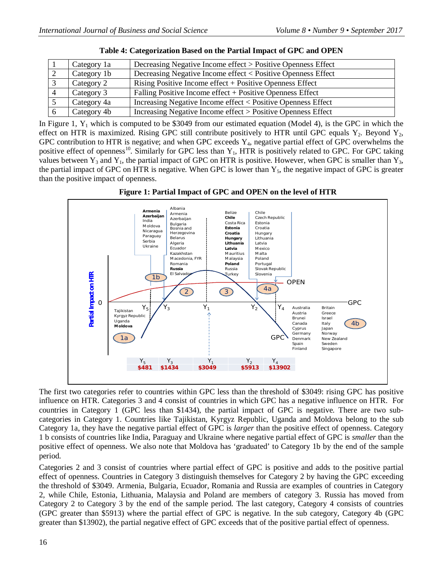| Category 1a | Decreasing Negative Income effect > Positive Openness Effect |
|-------------|--------------------------------------------------------------|
| Category 1b | Decreasing Negative Income effect < Positive Openness Effect |
| Category 2  | Rising Positive Income effect + Positive Openness Effect     |
| Category 3  | Falling Positive Income effect + Positive Openness Effect    |
| Category 4a | Increasing Negative Income effect < Positive Openness Effect |
| Category 4b | Increasing Negative Income effect > Positive Openness Effect |

In Figure 1,  $Y_1$  which is computed to be \$3049 from our estimated equation (Model 4), is the GPC in which the effect on HTR is maximized. Rising GPC still contribute positively to HTR until GPC equals  $Y_2$ . Beyond  $Y_2$ , GPC contribution to HTR is negative; and when GPC exceeds  $Y_4$ , negative partial effect of GPC overwhelms the positive effect of openness<sup>10</sup>. Similarly for GPC less than  $Y_1$ , HTR is positively related to GPC. For GPC taking values between  $Y_3$  and  $Y_1$ , the partial impact of GPC on HTR is positive. However, when GPC is smaller than  $Y_3$ , the partial impact of GPC on HTR is negative. When GPC is lower than  $Y_5$ , the negative impact of GPC is greater than the positive impact of openness.



**Figure 1: Partial Impact of GPC and OPEN on the level of HTR**

The first two categories refer to countries within GPC less than the threshold of \$3049: rising GPC has positive influence on HTR. Categories 3 and 4 consist of countries in which GPC has a negative influence on HTR. For countries in Category 1 (GPC less than \$1434), the partial impact of GPC is negative. There are two subcategories in Category 1. Countries like Tajikistan, Kyrgyz Republic, Uganda and Moldova belong to the sub Category 1a, they have the negative partial effect of GPC is *larger* than the positive effect of openness. Category 1 b consists of countries like India, Paraguay and Ukraine where negative partial effect of GPC is *smaller* than the positive effect of openness. We also note that Moldova has 'graduated' to Category 1b by the end of the sample period.

Categories 2 and 3 consist of countries where partial effect of GPC is positive and adds to the positive partial effect of openness. Countries in Category 3 distinguish themselves for Category 2 by having the GPC exceeding the threshold of \$3049. Armenia, Bulgaria, Ecuador, Romania and Russia are examples of countries in Category 2, while Chile, Estonia, Lithuania, Malaysia and Poland are members of category 3. Russia has moved from Category 2 to Category 3 by the end of the sample period. The last category, Category 4 consists of countries (GPC greater than \$5913) where the partial effect of GPC is negative. In the sub category, Category 4b (GPC greater than \$13902), the partial negative effect of GPC exceeds that of the positive partial effect of openness.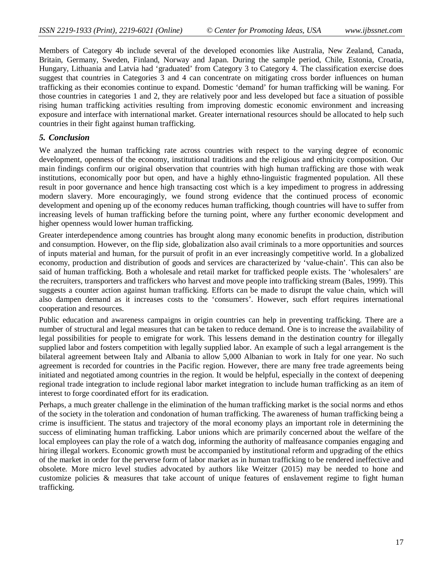Members of Category 4b include several of the developed economies like Australia, New Zealand, Canada, Britain, Germany, Sweden, Finland, Norway and Japan. During the sample period, Chile, Estonia, Croatia, Hungary, Lithuania and Latvia had 'graduated' from Category 3 to Category 4. The classification exercise does suggest that countries in Categories 3 and 4 can concentrate on mitigating cross border influences on human trafficking as their economies continue to expand. Domestic 'demand' for human trafficking will be waning. For those countries in categories 1 and 2, they are relatively poor and less developed but face a situation of possible rising human trafficking activities resulting from improving domestic economic environment and increasing exposure and interface with international market. Greater international resources should be allocated to help such countries in their fight against human trafficking.

#### *5. Conclusion*

We analyzed the human trafficking rate across countries with respect to the varying degree of economic development, openness of the economy, institutional traditions and the religious and ethnicity composition. Our main findings confirm our original observation that countries with high human trafficking are those with weak institutions, economically poor but open, and have a highly ethno-linguistic fragmented population. All these result in poor governance and hence high transacting cost which is a key impediment to progress in addressing modern slavery. More encouragingly, we found strong evidence that the continued process of economic development and opening up of the economy reduces human trafficking, though countries will have to suffer from increasing levels of human trafficking before the turning point, where any further economic development and higher openness would lower human trafficking.

Greater interdependence among countries has brought along many economic benefits in production, distribution and consumption. However, on the flip side, globalization also avail criminals to a more opportunities and sources of inputs material and human, for the pursuit of profit in an ever increasingly competitive world. In a globalized economy, production and distribution of goods and services are characterized by 'value-chain'. This can also be said of human trafficking. Both a wholesale and retail market for trafficked people exists. The 'wholesalers' are the recruiters, transporters and traffickers who harvest and move people into trafficking stream (Bales, 1999). This suggests a counter action against human trafficking. Efforts can be made to disrupt the value chain, which will also dampen demand as it increases costs to the 'consumers'. However, such effort requires international cooperation and resources.

Public education and awareness campaigns in origin countries can help in preventing trafficking. There are a number of structural and legal measures that can be taken to reduce demand. One is to increase the availability of legal possibilities for people to emigrate for work. This lessens demand in the destination country for illegally supplied labor and fosters competition with legally supplied labor. An example of such a legal arrangement is the bilateral agreement between Italy and Albania to allow 5,000 Albanian to work in Italy for one year. No such agreement is recorded for countries in the Pacific region. However, there are many free trade agreements being initiated and negotiated among countries in the region. It would be helpful, especially in the context of deepening regional trade integration to include regional labor market integration to include human trafficking as an item of interest to forge coordinated effort for its eradication.

Perhaps, a much greater challenge in the elimination of the human trafficking market is the social norms and ethos of the society in the toleration and condonation of human trafficking. The awareness of human trafficking being a crime is insufficient. The status and trajectory of the moral economy plays an important role in determining the success of eliminating human trafficking. Labor unions which are primarily concerned about the welfare of the local employees can play the role of a watch dog, informing the authority of malfeasance companies engaging and hiring illegal workers. Economic growth must be accompanied by institutional reform and upgrading of the ethics of the market in order for the perverse form of labor market as in human trafficking to be rendered ineffective and obsolete. More micro level studies advocated by authors like Weitzer (2015) may be needed to hone and customize policies & measures that take account of unique features of enslavement regime to fight human trafficking.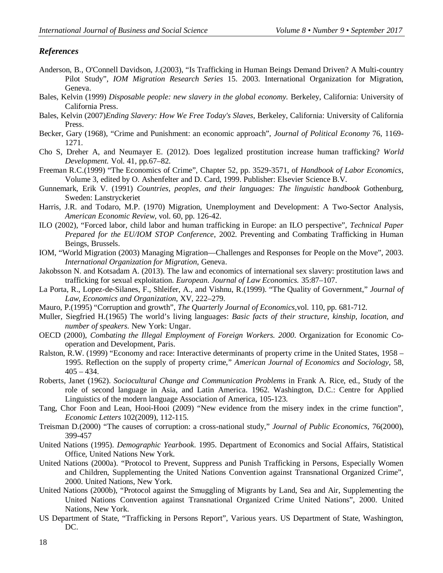# *References*

- Anderson, B., O'Connell Davidson, J.(2003), "Is Trafficking in Human Beings Demand Driven? A Multi-country Pilot Study", *IOM Migration Research Series* 15. 2003. International Organization for Migration, Geneva.
- Bales, Kelvin (1999) *Disposable people: new slavery in the global economy.* Berkeley, California: University of California Press.
- Bales, Kelvin (2007)*Ending Slavery: How We Free Today's Slaves*, Berkeley, California: University of California Press.
- Becker, Gary (1968), "Crime and Punishment: an economic approach", *Journal of Political Economy* 76, 1169- 1271.
- Cho S, Dreher A, and Neumayer E. (2012). Does legalized prostitution increase human trafficking? *World Development.* Vol. 41, pp.67–82.
- Freeman R.C.(1999) "The Economics of Crime", Chapter 52, pp. 3529-3571, of *Handbook of Labor Economics*, Volume 3, edited by O. Ashenfelter and D. Card, 1999. Publisher: Elsevier Science B.V.
- Gunnemark, Erik V. (1991) *Countries, peoples, and their languages: The linguistic handbook* Gothenburg, Sweden: Lanstryckeriet
- Harris, J.R. and Todaro, M.P. (1970) Migration, Unemployment and Development: A Two-Sector Analysis, *American Economic Review*, vol. 60, pp. 126-42.
- ILO (2002), "Forced labor, child labor and human trafficking in Europe: an ILO perspective", *Technical Paper Prepared for the EU/IOM STOP Conference*, 2002. Preventing and Combating Trafficking in Human Beings, Brussels.
- IOM, "World Migration (2003) Managing Migration—Challenges and Responses for People on the Move", 2003. *International Organization for Migration*, Geneva.
- Jakobsson N. and Kotsadam A. (2013). The law and economics of international sex slavery: prostitution laws and trafficking for sexual exploitation. *European. Journal of Law Economics.* 35:87–107.
- La Porta, R., Lopez-de-Silanes, F., Shleifer, A., and Vishnu, R.(1999). "The Quality of Government," *Journal of Law, Economics and Organization*, XV, 222–279.
- Mauro, P.(1995) "Corruption and growth", *The Quarterly Journal of Economics,*vol. 110, pp. 681-712.
- Muller, Siegfried H.(1965) The world's living languages: *Basic facts of their structure, kinship, location, and number of speakers.* New York: Ungar.
- OECD (2000), *Combating the Illegal Employment of Foreign Workers. 2000*. Organization for Economic Cooperation and Development, Paris.
- Ralston, R.W. (1999) "Economy and race: Interactive determinants of property crime in the United States, 1958 1995. Reflection on the supply of property crime," *American Journal of Economics and Sociology*, 58,  $405 - 434.$
- Roberts, Janet (1962). *Sociocultural Change and Communication Problems* in Frank A. Rice, ed., Study of the role of second language in Asia, and Latin America. 1962. Washington, D.C.: Centre for Applied Linguistics of the modern language Association of America, 105-123.
- Tang, Chor Foon and Lean, Hooi-Hooi (2009) "New evidence from the misery index in the crime function", *Economic Letters* 102(2009), 112-115.
- Treisman D.(2000) "The causes of corruption: a cross-national study," *Journal of Public Economics,* 76(2000), 399-457
- United Nations (1995). *Demographic Yearbook*. 1995. Department of Economics and Social Affairs, Statistical Office, United Nations New York.
- United Nations (2000a). "Protocol to Prevent, Suppress and Punish Trafficking in Persons, Especially Women and Children, Supplementing the United Nations Convention against Transnational Organized Crime", 2000. United Nations, New York.
- United Nations (2000b), "Protocol against the Smuggling of Migrants by Land, Sea and Air, Supplementing the United Nations Convention against Transnational Organized Crime United Nations", 2000. United Nations, New York.
- US Department of State, "Trafficking in Persons Report", Various years. US Department of State, Washington, DC.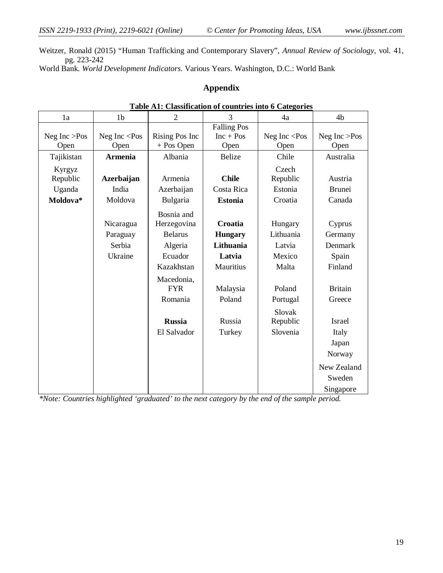Weitzer, Ronald (2015) "Human Trafficking and Contemporary Slavery", *Annual Review of Sociology*, vol. 41, pg. 223-242

World Bank. *World Development Indicators*. Various Years. Washington, D.C.: World Bank

# **Appendix**

| 1a              | 1 <sub>b</sub>        | <u>Cambbintention</u><br>$\overline{2}$ | 3                  | 4a              | 4b              |
|-----------------|-----------------------|-----------------------------------------|--------------------|-----------------|-----------------|
|                 |                       |                                         | <b>Falling Pos</b> |                 |                 |
| Neg Inc $>$ Pos | Neg Inc $\langle Pos$ | Rising Pos Inc                          | $Inc + Pos$        | Neg Inc $<$ Pos | Neg Inc $>$ Pos |
| Open            | Open                  | $+$ Pos Open                            | Open               | Open            | Open            |
| Tajikistan      | <b>Armenia</b>        | Albania                                 | <b>Belize</b>      | Chile           | Australia       |
| Kyrgyz          |                       |                                         |                    | Czech           |                 |
| Republic        | <b>Azerbaijan</b>     | Armenia                                 | <b>Chile</b>       | Republic        | Austria         |
| Uganda          | India                 | Azerbaijan                              | Costa Rica         | Estonia         | <b>Brunei</b>   |
| Moldova*        | Moldova               | Bulgaria                                | <b>Estonia</b>     | Croatia         | Canada          |
|                 |                       | Bosnia and                              |                    |                 |                 |
|                 | Nicaragua             | Herzegovina                             | Croatia            | Hungary         | Cyprus          |
|                 | Paraguay              | <b>Belarus</b>                          | <b>Hungary</b>     | Lithuania       | Germany         |
|                 | Serbia                | Algeria                                 | Lithuania          | Latvia          | Denmark         |
|                 | Ukraine               | Ecuador                                 | Latvia             | Mexico          | Spain           |
|                 |                       | Kazakhstan                              | Mauritius          | Malta           | Finland         |
|                 |                       | Macedonia,                              |                    |                 |                 |
|                 |                       | <b>FYR</b>                              | Malaysia           | Poland          | <b>Britain</b>  |
|                 |                       | Romania                                 | Poland             | Portugal        | Greece          |
|                 |                       |                                         |                    | Slovak          |                 |
|                 |                       | <b>Russia</b>                           | Russia             | Republic        | Israel          |
|                 |                       | El Salvador                             | Turkey             | Slovenia        | Italy           |
|                 |                       |                                         |                    |                 | Japan           |
|                 |                       |                                         |                    |                 | Norway          |
|                 |                       |                                         |                    |                 | New Zealand     |
|                 |                       |                                         |                    |                 | Sweden          |
|                 |                       |                                         |                    |                 | Singapore       |

## **Table A1: Classification of countries into 6 Categories**

*\*Note: Countries highlighted 'graduated' to the next category by the end of the sample period.*